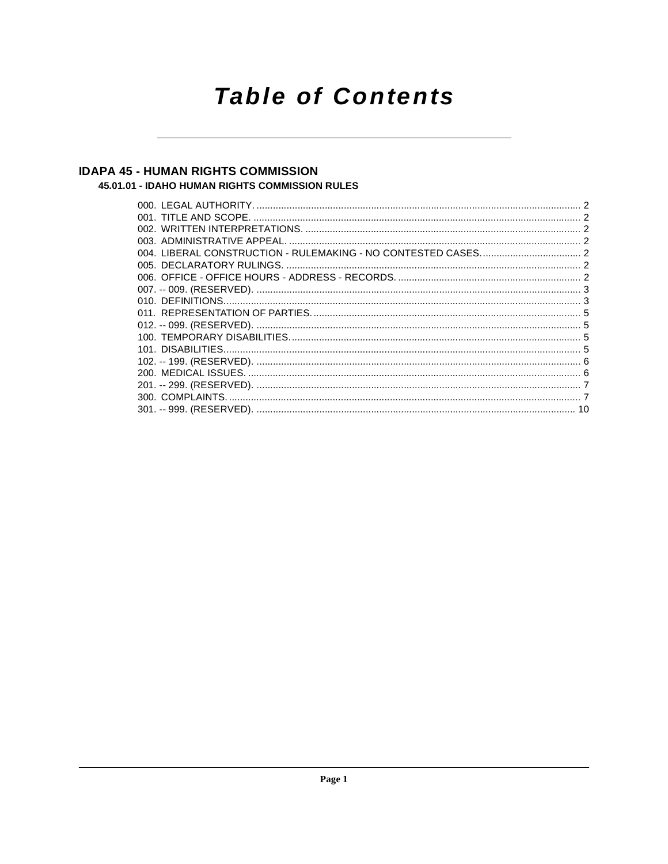# **Table of Contents**

### **IDAPA 45 - HUMAN RIGHTS COMMISSION**

#### 45.01.01 - IDAHO HUMAN RIGHTS COMMISSION RULES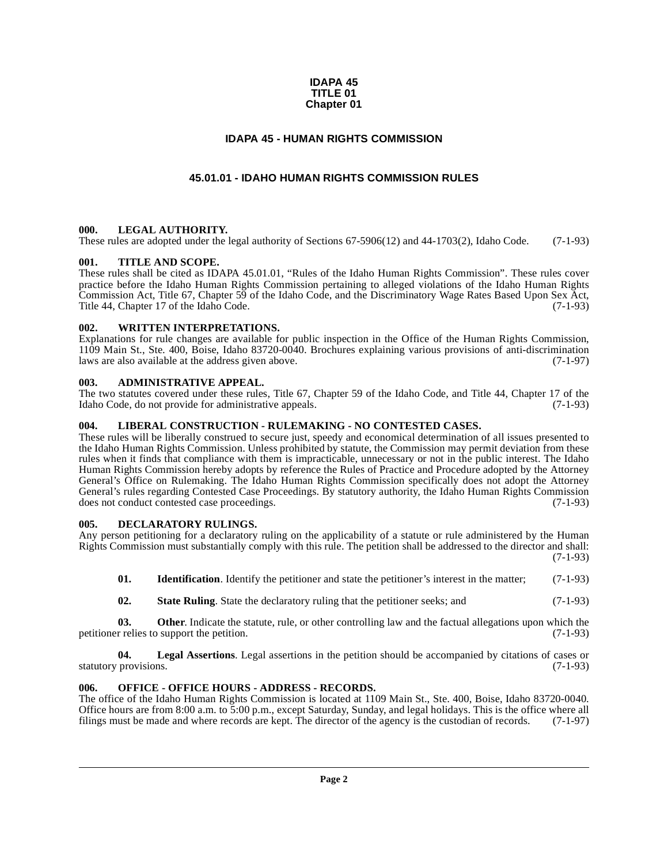#### **IDAPA 45 TITLE 01 Chapter 01**

#### **IDAPA 45 - HUMAN RIGHTS COMMISSION**

#### **45.01.01 - IDAHO HUMAN RIGHTS COMMISSION RULES**

#### <span id="page-1-2"></span><span id="page-1-1"></span><span id="page-1-0"></span>**000. LEGAL AUTHORITY.**

These rules are adopted under the legal authority of Sections 67-5906(12) and 44-1703(2), Idaho Code. (7-1-93)

#### <span id="page-1-3"></span>**001. TITLE AND SCOPE.**

These rules shall be cited as IDAPA 45.01.01, "Rules of the Idaho Human Rights Commission". These rules cover practice before the Idaho Human Rights Commission pertaining to alleged violations of the Idaho Human Rights Commission Act, Title 67, Chapter 59 of the Idaho Code, and the Discriminatory Wage Rates Based Upon Sex Act, Title 44, Chapter 17 of the Idaho Code. (7-1-93)

#### <span id="page-1-4"></span>**002. WRITTEN INTERPRETATIONS.**

Explanations for rule changes are available for public inspection in the Office of the Human Rights Commission, 1109 Main St., Ste. 400, Boise, Idaho 83720-0040. Brochures explaining various provisions of anti-discrimination laws are also available at the address given above. (7-1-97)

#### <span id="page-1-5"></span>**003. ADMINISTRATIVE APPEAL.**

The two statutes covered under these rules, Title 67, Chapter 59 of the Idaho Code, and Title 44, Chapter 17 of the Idaho Code, do not provide for administrative appeals. Idaho Code, do not provide for administrative appeals.

#### <span id="page-1-6"></span>**004. LIBERAL CONSTRUCTION - RULEMAKING - NO CONTESTED CASES.**

These rules will be liberally construed to secure just, speedy and economical determination of all issues presented to the Idaho Human Rights Commission. Unless prohibited by statute, the Commission may permit deviation from these rules when it finds that compliance with them is impracticable, unnecessary or not in the public interest. The Idaho Human Rights Commission hereby adopts by reference the Rules of Practice and Procedure adopted by the Attorney General's Office on Rulemaking. The Idaho Human Rights Commission specifically does not adopt the Attorney General's rules regarding Contested Case Proceedings. By statutory authority, the Idaho Human Rights Commission does not conduct contested case proceedings. does not conduct contested case proceedings.

#### <span id="page-1-9"></span><span id="page-1-7"></span>**005. DECLARATORY RULINGS.**

Any person petitioning for a declaratory ruling on the applicability of a statute or rule administered by the Human Rights Commission must substantially comply with this rule. The petition shall be addressed to the director and shall: (7-1-93)

**01.** Identification. Identify the petitioner and state the petitioner's interest in the matter; (7-1-93)

**02.** State Ruling. State the declaratory ruling that the petitioner seeks; and  $(7-1-93)$ 

**03. Other**. Indicate the statute, rule, or other controlling law and the factual allegations upon which the petitioner relies to support the petition. (7-1-93)

**04. Legal Assertions**. Legal assertions in the petition should be accompanied by citations of cases or statutory provisions. (7-1-93)

#### <span id="page-1-8"></span>**006. OFFICE - OFFICE HOURS - ADDRESS - RECORDS.**

The office of the Idaho Human Rights Commission is located at 1109 Main St., Ste. 400, Boise, Idaho 83720-0040. Office hours are from 8:00 a.m. to 5:00 p.m., except Saturday, Sunday, and legal holidays. This is the office where all filings must be made and where records are kept. The director of the agency is the custodian of recor filings must be made and where records are kept. The director of the agency is the custodian of records.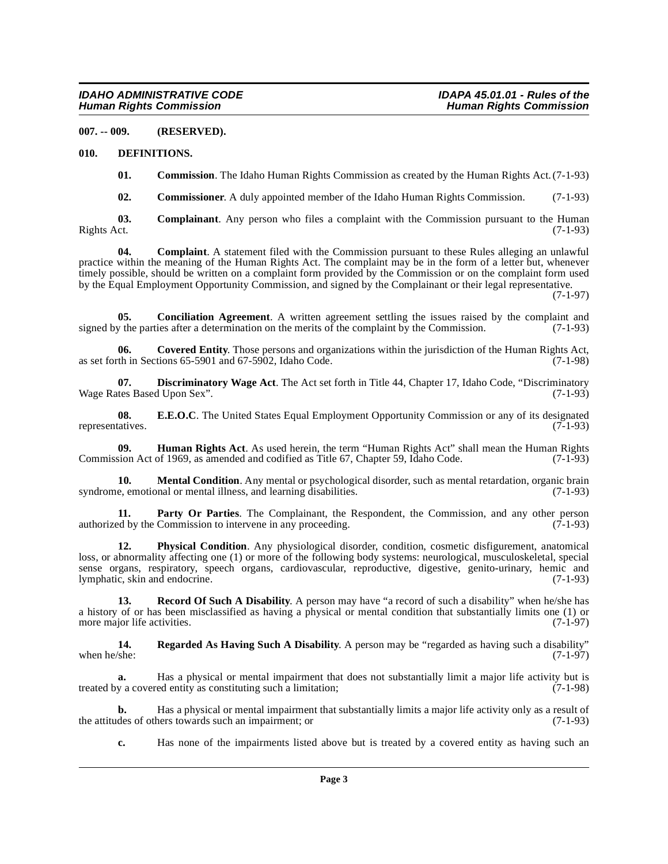<span id="page-2-0"></span>**007. -- 009. (RESERVED).**

#### <span id="page-2-1"></span>**010. DEFINITIONS.**

<span id="page-2-5"></span>**01. Commission**. The Idaho Human Rights Commission as created by the Human Rights Act. (7-1-93)

<span id="page-2-2"></span>**02. Commissioner**. A duly appointed member of the Idaho Human Rights Commission. (7-1-93)

**03. Complainant**. Any person who files a complaint with the Commission pursuant to the Human Rights Act. (7-1-93) Rights Act. (7-1-93)

**04. Complaint**. A statement filed with the Commission pursuant to these Rules alleging an unlawful practice within the meaning of the Human Rights Act. The complaint may be in the form of a letter but, whenever timely possible, should be written on a complaint form provided by the Commission or on the complaint form used by the Equal Employment Opportunity Commission, and signed by the Complainant or their legal representative.

(7-1-97)

<span id="page-2-3"></span>**05. Conciliation Agreement**. A written agreement settling the issues raised by the complaint and signed by the parties after a determination on the merits of the complaint by the Commission.  $(7-1-93)$ 

<span id="page-2-4"></span>**06. Covered Entity**. Those persons and organizations within the jurisdiction of the Human Rights Act, as set forth in Sections  $65-5901$  and  $67-5902$ , Idaho Code. (7-1-98)

<span id="page-2-6"></span>**07. Discriminatory Wage Act**. The Act set forth in Title 44, Chapter 17, Idaho Code, "Discriminatory thes Based Upon Sex". (7-1-93) Wage Rates Based Upon Sex".

<span id="page-2-7"></span>**08. E.E.O.C**. The United States Equal Employment Opportunity Commission or any of its designated representatives.  $(7-1-93)$ 

<span id="page-2-8"></span>**09. Human Rights Act**. As used herein, the term "Human Rights Act" shall mean the Human Rights sion Act of 1969, as amended and codified as Title 67, Chapter 59, Idaho Code. (7-1-93) Commission Act of 1969, as amended and codified as Title 67, Chapter 59, Idaho Code.

<span id="page-2-9"></span>**10. Mental Condition**. Any mental or psychological disorder, such as mental retardation, organic brain syndrome, emotional or mental illness, and learning disabilities. (7-1-93)

**11. Party Or Parties**. The Complainant, the Respondent, the Commission, and any other person ed by the Commission to intervene in any proceeding. (7-1-93) authorized by the Commission to intervene in any proceeding.

<span id="page-2-10"></span>**12. Physical Condition**. Any physiological disorder, condition, cosmetic disfigurement, anatomical loss, or abnormality affecting one (1) or more of the following body systems: neurological, musculoskeletal, special sense organs, respiratory, speech organs, cardiovascular, reproductive, digestive, genito-urinary, hemic and lymphatic, skin and endocrine. (7-1-93) lymphatic, skin and endocrine.

<span id="page-2-11"></span>**13. Record Of Such A Disability**. A person may have "a record of such a disability" when he/she has a history of or has been misclassified as having a physical or mental condition that substantially limits one (1) or more major life activities. (7-1-97)

<span id="page-2-12"></span>**14.** Regarded As Having Such A Disability. A person may be "regarded as having such a disability" when he/she: (7-1-97) when he/she:  $(7-1-97)$ 

**a.** Has a physical or mental impairment that does not substantially limit a major life activity but is treated by a covered entity as constituting such a limitation; (7-1-98)

**b.** Has a physical or mental impairment that substantially limits a major life activity only as a result of des of others towards such an impairment; or the attitudes of others towards such an impairment; or

**c.** Has none of the impairments listed above but is treated by a covered entity as having such an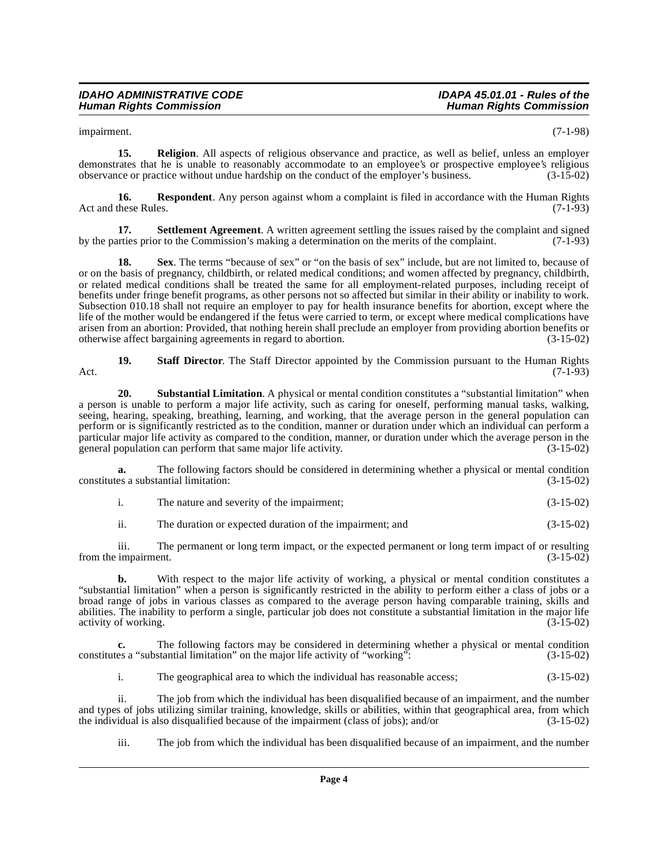impairment. (7-1-98)

**15. Religion**. All aspects of religious observance and practice, as well as belief, unless an employer demonstrates that he is unable to reasonably accommodate to an employee's or prospective employee's religious observance or practice without undue hardship on the conduct of the employer's business. (3-15-02)

**16. Respondent**. Any person against whom a complaint is filed in accordance with the Human Rights these Rules. (7-1-93) Act and these Rules.

**17. Settlement Agreement**. A written agreement settling the issues raised by the complaint and signed arties prior to the Commission's making a determination on the merits of the complaint. (7-1-93) by the parties prior to the Commission's making a determination on the merits of the complaint.

**18.** Sex. The terms "because of sex" or "on the basis of sex" include, but are not limited to, because of or on the basis of pregnancy, childbirth, or related medical conditions; and women affected by pregnancy, childbirth, or related medical conditions shall be treated the same for all employment-related purposes, including receipt of benefits under fringe benefit programs, as other persons not so affected but similar in their ability or inability to work. Subsection 010.18 shall not require an employer to pay for health insurance benefits for abortion, except where the life of the mother would be endangered if the fetus were carried to term, or except where medical complications have arisen from an abortion: Provided, that nothing herein shall preclude an employer from providing abortion benefits or otherwise affect bargaining agreements in regard to abortion. (3-15-02) otherwise affect bargaining agreements in regard to abortion.

**19. Staff Director**. The Staff Director appointed by the Commission pursuant to the Human Rights Act. (7-1-93)

<span id="page-3-0"></span>**20. Substantial Limitation**. A physical or mental condition constitutes a "substantial limitation" when a person is unable to perform a major life activity, such as caring for oneself, performing manual tasks, walking, seeing, hearing, speaking, breathing, learning, and working, that the average person in the general population can perform or is significantly restricted as to the condition, manner or duration under which an individual can perform a particular major life activity as compared to the condition, manner, or duration under which the average person in the general population can perform that same major life activity. (3-15-02) general population can perform that same major life activity.

**a.** The following factors should be considered in determining whether a physical or mental condition constitutes a substantial limitation: (3-15-02)

| The nature and severity of the impairment: | $(3-15-02)$ |
|--------------------------------------------|-------------|

ii. The duration or expected duration of the impairment; and (3-15-02)

iii. The permanent or long term impact, or the expected permanent or long term impact of or resulting from the impairment.

**b.** With respect to the major life activity of working, a physical or mental condition constitutes a "substantial limitation" when a person is significantly restricted in the ability to perform either a class of jobs or a broad range of jobs in various classes as compared to the average person having comparable training, skills and abilities. The inability to perform a single, particular job does not constitute a substantial limitation in the major life activity of working. (3-15-02) activity of working.

**c.** The following factors may be considered in determining whether a physical or mental condition es a "substantial limitation" on the major life activity of "working":  $(3-15-02)$ constitutes a "substantial limitation" on the major life activity of "working"

i. The geographical area to which the individual has reasonable access; (3-15-02)

ii. The job from which the individual has been disqualified because of an impairment, and the number and types of jobs utilizing similar training, knowledge, skills or abilities, within that geographical area, from which<br>the individual is also disqualified because of the impairment (class of jobs); and/or (3-15-02) the individual is also disqualified because of the impairment (class of jobs); and/or

iii. The job from which the individual has been disqualified because of an impairment, and the number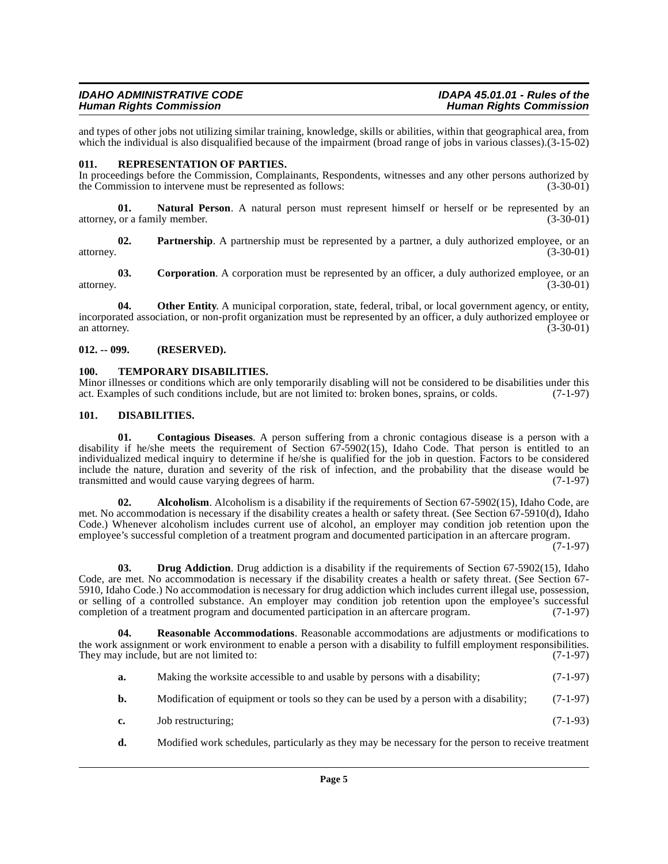and types of other jobs not utilizing similar training, knowledge, skills or abilities, within that geographical area, from which the individual is also disqualified because of the impairment (broad range of jobs in various classes).(3-15-02)

#### <span id="page-4-7"></span><span id="page-4-0"></span>**011. REPRESENTATION OF PARTIES.**

In proceedings before the Commission, Complainants, Respondents, witnesses and any other persons authorized by the Commission to intervene must be represented as follows: (3-30-01) the Commission to intervene must be represented as follows:

**Natural Person**. A natural person must represent himself or herself or be represented by an ily member. (3-30-01) attorney, or a family member.

**02. Partnership**. A partnership must be represented by a partner, a duly authorized employee, or an (3-30-01) attorney. (3-30-01)

**03.** Corporation. A corporation must be represented by an officer, a duly authorized employee, or an  $(3-30-01)$ attorney. (3-30-01)

**04.** Other Entity. A municipal corporation, state, federal, tribal, or local government agency, or entity, incorporated association, or non-profit organization must be represented by an officer, a duly authorized employee or an attorney.  $(3-30-01)$ 

#### <span id="page-4-1"></span>**012. -- 099. (RESERVED).**

#### <span id="page-4-8"></span><span id="page-4-2"></span>**100. TEMPORARY DISABILITIES.**

Minor illnesses or conditions which are only temporarily disabling will not be considered to be disabilities under this act. Examples of such conditions include, but are not limited to: broken bones, sprains, or colds. (7act. Examples of such conditions include, but are not limited to: broken bones, sprains, or colds.

#### <span id="page-4-5"></span><span id="page-4-4"></span><span id="page-4-3"></span>**101. DISABILITIES.**

**01. Contagious Diseases**. A person suffering from a chronic contagious disease is a person with a disability if he/she meets the requirement of Section 67-5902(15), Idaho Code. That person is entitled to an individualized medical inquiry to determine if he/she is qualified for the job in question. Factors to be considered include the nature, duration and severity of the risk of infection, and the probability that the disease would be transmitted and would cause varying degrees of harm. (7-1-97)

**02.** Alcoholism. Alcoholism is a disability if the requirements of Section 67-5902(15), Idaho Code, are met. No accommodation is necessary if the disability creates a health or safety threat. (See Section 67-5910(d), Idaho Code.) Whenever alcoholism includes current use of alcohol, an employer may condition job retention upon the employee's successful completion of a treatment program and documented participation in an aftercare program.

(7-1-97)

**03. Drug Addiction**. Drug addiction is a disability if the requirements of Section 67-5902(15), Idaho Code, are met. No accommodation is necessary if the disability creates a health or safety threat. (See Section 67- 5910, Idaho Code.) No accommodation is necessary for drug addiction which includes current illegal use, possession, or selling of a controlled substance. An employer may condition job retention upon the employee's successful completion of a treatment program and documented participation in an aftercare program. (7-1-97) completion of a treatment program and documented participation in an aftercare program.

**Reasonable Accommodations**. Reasonable accommodations are adjustments or modifications to the work assignment or work environment to enable a person with a disability to fulfill employment responsibilities. They may include, but are not limited to: (7-1-97)

- <span id="page-4-6"></span>**a.** Making the worksite accessible to and usable by persons with a disability; (7-1-97)
- **b.** Modification of equipment or tools so they can be used by a person with a disability; (7-1-97)
- **c.** Job restructuring; (7-1-93)
- **d.** Modified work schedules, particularly as they may be necessary for the person to receive treatment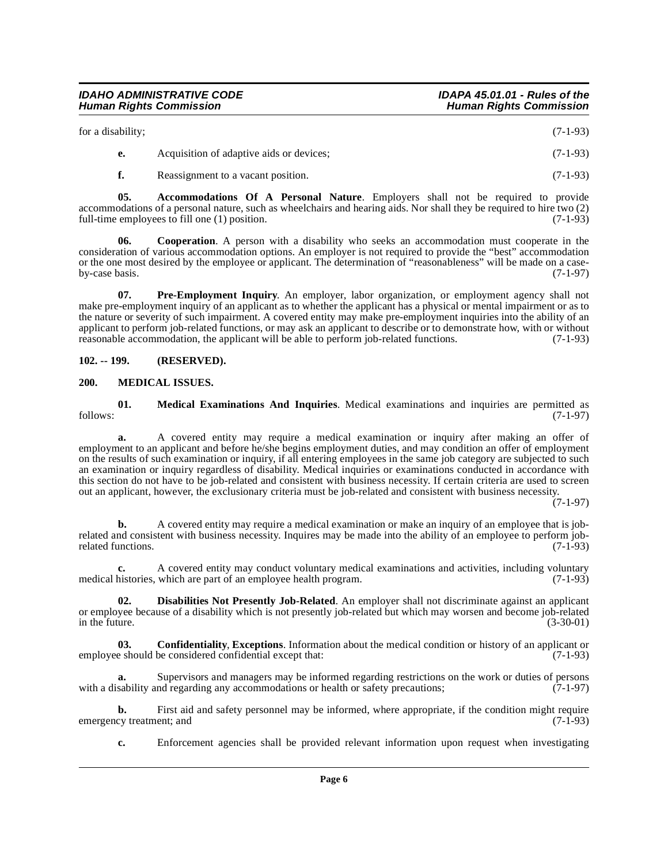| for a disability; |                                          | $(7-1-93)$ |
|-------------------|------------------------------------------|------------|
| е.                | Acquisition of adaptive aids or devices; | $(7-1-93)$ |
|                   | Reassignment to a vacant position.       | $(7-1-93)$ |

**05. Accommodations Of A Personal Nature**. Employers shall not be required to provide accommodations of a personal nature, such as wheelchairs and hearing aids. Nor shall they be required to hire two (2) full-time employees to fill one (1) position. full-time employees to fill one  $(1)$  position.

<span id="page-5-3"></span>**06. Cooperation**. A person with a disability who seeks an accommodation must cooperate in the consideration of various accommodation options. An employer is not required to provide the "best" accommodation or the one most desired by the employee or applicant. The determination of "reasonableness" will be made on a case-<br>(7-1-97) by-case basis.

<span id="page-5-6"></span>**07. Pre-Employment Inquiry**. An employer, labor organization, or employment agency shall not make pre-employment inquiry of an applicant as to whether the applicant has a physical or mental impairment or as to the nature or severity of such impairment. A covered entity may make pre-employment inquiries into the ability of an applicant to perform job-related functions, or may ask an applicant to describe or to demonstrate how, with or without reasonable accommodation, the applicant will be able to perform job-related functions.  $(7-1-93)$ reasonable accommodation, the applicant will be able to perform job-related functions.

#### <span id="page-5-0"></span>**102. -- 199. (RESERVED).**

#### <span id="page-5-5"></span><span id="page-5-1"></span>**200. MEDICAL ISSUES.**

**01. Medical Examinations And Inquiries**. Medical examinations and inquiries are permitted as follows: (7-1-97)

**a.** A covered entity may require a medical examination or inquiry after making an offer of employment to an applicant and before he/she begins employment duties, and may condition an offer of employment on the results of such examination or inquiry, if all entering employees in the same job category are subjected to such an examination or inquiry regardless of disability. Medical inquiries or examinations conducted in accordance with this section do not have to be job-related and consistent with business necessity. If certain criteria are used to screen out an applicant, however, the exclusionary criteria must be job-related and consistent with business necessity.

 $(7-1-97)$ 

**b.** A covered entity may require a medical examination or make an inquiry of an employee that is jobrelated and consistent with business necessity. Inquires may be made into the ability of an employee to perform job-<br>related functions. (7-1-93) related functions.

**c.** A covered entity may conduct voluntary medical examinations and activities, including voluntary histories, which are part of an employee health program. (7-1-93) medical histories, which are part of an employee health program.

<span id="page-5-4"></span>**02. Disabilities Not Presently Job-Related**. An employer shall not discriminate against an applicant or employee because of a disability which is not presently job-related but which may worsen and become job-related in the future. (3-30-01) (3-30-01)

<span id="page-5-2"></span>**03. Confidentiality**, **Exceptions**. Information about the medical condition or history of an applicant or employee should be considered confidential except that: (7-1-93)

**a.** Supervisors and managers may be informed regarding restrictions on the work or duties of persons with a disability and regarding any accommodations or health or safety precautions;  $(7-1-97)$ 

**b.** First aid and safety personnel may be informed, where appropriate, if the condition might require cy treatment; and (7-1-93) emergency treatment; and

**c.** Enforcement agencies shall be provided relevant information upon request when investigating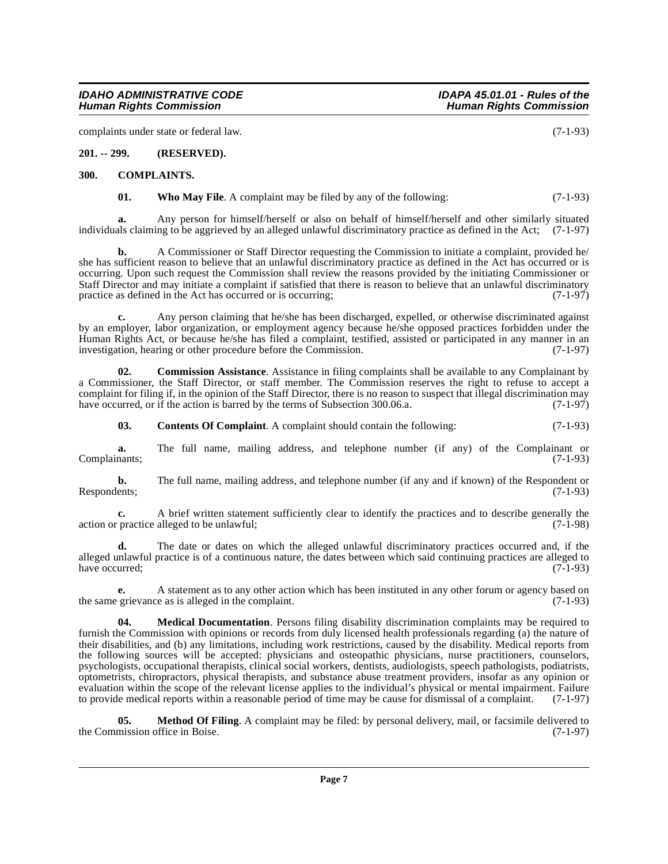**d.** The date or dates on which the alleged unlawful discriminatory practices occurred and, if the alleged unlawful practice is of a continuous nature, the dates between which said continuing practices are alleged to have occurred; (7-1-93)

Respondents;  $(7-1-93)$ 

**e.** A statement as to any other action which has been instituted in any other forum or agency based on the same grievance as is alleged in the complaint. (7-1-93)

<span id="page-6-4"></span>**04. Medical Documentation**. Persons filing disability discrimination complaints may be required to furnish the Commission with opinions or records from duly licensed health professionals regarding (a) the nature of their disabilities, and (b) any limitations, including work restrictions, caused by the disability. Medical reports from the following sources will be accepted: physicians and osteopathic physicians, nurse practitioners, counselors, psychologists, occupational therapists, clinical social workers, dentists, audiologists, speech pathologists, podiatrists, optometrists, chiropractors, physical therapists, and substance abuse treatment providers, insofar as any opinion or evaluation within the scope of the relevant license applies to the individual's physical or mental impairment. Failure to provide medical reports within a reasonable period of time may be cause for dismissal of a complaint. (7-1-97)

<span id="page-6-5"></span>**05. Method Of Filing**. A complaint may be filed: by personal delivery, mail, or facsimile delivered to mission office in Boise. (7-1-97) the Commission office in Boise.

**Page 7**

**c.** Any person claiming that he/she has been discharged, expelled, or otherwise discriminated against by an employer, labor organization, or employment agency because he/she opposed practices forbidden under the Human Rights Act, or because he/she has filed a complaint, testified, assisted or participated in any manner in an investigation, hearing or other procedure before the Commission. (7-1-97)

occurring. Upon such request the Commission shall review the reasons provided by the initiating Commissioner or Staff Director and may initiate a complaint if satisfied that there is reason to believe that an unlawful discriminatory

<span id="page-6-3"></span>**01.** Who May File. A complaint may be filed by any of the following: (7-1-93)

**02. Commission Assistance**. Assistance in filing complaints shall be available to any Complainant by a Commissioner, the Staff Director, or staff member. The Commission reserves the right to refuse to accept a complaint for filing if, in the opinion of the Staff Director, there is no reason to suspect that illegal discrimination may<br>have occurred, or if the action is barred by the terms of Subsection 300.06.a.  $(7-1-97)$ have occurred, or if the action is barred by the terms of Subsection 300.06.a.

<span id="page-6-2"></span>**03. Contents Of Complaint**. A complaint should contain the following: (7-1-93)

**a.** The full name, mailing address, and telephone number (if any) of the Complainant or (7-1-93)

**b.** The full name, mailing address, and telephone number (if any and if known) of the Respondent or

**a.** Any person for himself/herself or also on behalf of himself/herself and other similarly situated individuals claiming to be aggrieved by an alleged unlawful discriminatory practice as defined in the Act; (7-1-97)

practice as defined in the Act has occurred or is occurring;

complaints under state or federal law. (7-1-93)

<span id="page-6-0"></span>**201. -- 299. (RESERVED).**

<span id="page-6-1"></span>**300. COMPLAINTS.**

Complainants;

### **Human Rights Commission**

**IDAHO ADMINISTRATIVE CODE IDAPA 45.01.01 - Rules of the**

**b.** A Commissioner or Staff Director requesting the Commission to initiate a complaint, provided he/ she has sufficient reason to believe that an unlawful discriminatory practice as defined in the Act has occurred or is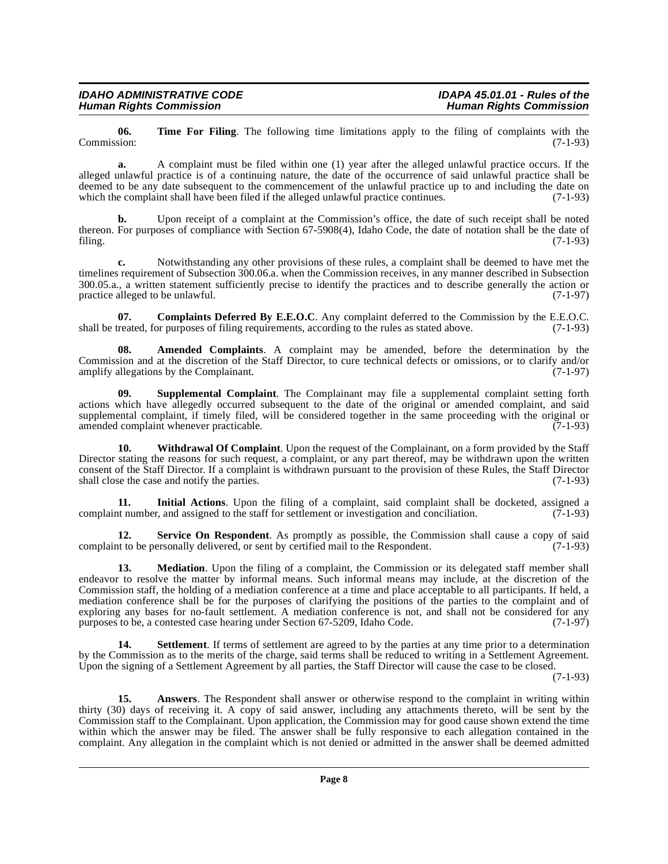**06.** Time For Filing. The following time limitations apply to the filing of complaints with the Commission: (7-1-93) Commission: (7-1-93)

**a.** A complaint must be filed within one (1) year after the alleged unlawful practice occurs. If the alleged unlawful practice is of a continuing nature, the date of the occurrence of said unlawful practice shall be deemed to be any date subsequent to the commencement of the unlawful practice up to and including the date on which the complaint shall have been filed if the alleged unlawful practice continues. (7-1-93) which the complaint shall have been filed if the alleged unlawful practice continues.

**b.** Upon receipt of a complaint at the Commission's office, the date of such receipt shall be noted thereon. For purposes of compliance with Section 67-5908(4), Idaho Code, the date of notation shall be the date of filing. (7-1-93) filing. (7-1-93)

**c.** Notwithstanding any other provisions of these rules, a complaint shall be deemed to have met the timelines requirement of Subsection 300.06.a. when the Commission receives, in any manner described in Subsection 300.05.a., a written statement sufficiently precise to identify the practices and to describe generally the action or practice alleged to be unlawful.  $(7-1-97)$ practice alleged to be unlawful.

<span id="page-7-1"></span>**07. Complaints Deferred By E.E.O.C**. Any complaint deferred to the Commission by the E.E.O.C. shall be treated, for purposes of filing requirements, according to the rules as stated above. (7-1-93)

**08. Amended Complaints**. A complaint may be amended, before the determination by the Commission and at the discretion of the Staff Director, to cure technical defects or omissions, or to clarify and/or amplify allegations by the Complainant. (7-1-97)

**09. Supplemental Complaint**. The Complainant may file a supplemental complaint setting forth actions which have allegedly occurred subsequent to the date of the original or amended complaint, and said supplemental complaint, if timely filed, will be considered together in the same proceeding with the original or amended complaint whenever practicable. (7-1-93)

**10. Withdrawal Of Complaint**. Upon the request of the Complainant, on a form provided by the Staff Director stating the reasons for such request, a complaint, or any part thereof, may be withdrawn upon the written consent of the Staff Director. If a complaint is withdrawn pursuant to the provision of these Rules, the Staff Director shall close the case and notify the parties. (7-1-93)

<span id="page-7-2"></span>**11.** Initial Actions. Upon the filing of a complaint, said complaint shall be docketed, assigned a trumber, and assigned to the staff for settlement or investigation and conciliation. (7-1-93) complaint number, and assigned to the staff for settlement or investigation and conciliation.

**12. Service On Respondent**. As promptly as possible, the Commission shall cause a copy of said at to be personally delivered, or sent by certified mail to the Respondent. (7-1-93) complaint to be personally delivered, or sent by certified mail to the Respondent.

<span id="page-7-3"></span>**13.** Mediation. Upon the filing of a complaint, the Commission or its delegated staff member shall endeavor to resolve the matter by informal means. Such informal means may include, at the discretion of the Commission staff, the holding of a mediation conference at a time and place acceptable to all participants. If held, a mediation conference shall be for the purposes of clarifying the positions of the parties to the complaint and of exploring any bases for no-fault settlement. A mediation conference is not, and shall not be considered for any<br>nurposes to be, a contested case hearing under Section 67-5209. Idaho Code. (7-1-97) purposes to be, a contested case hearing under Section 67-5209, Idaho Code.

**Settlement**. If terms of settlement are agreed to by the parties at any time prior to a determination by the Commission as to the merits of the charge, said terms shall be reduced to writing in a Settlement Agreement. Upon the signing of a Settlement Agreement by all parties, the Staff Director will cause the case to be closed.

(7-1-93)

<span id="page-7-0"></span>**15. Answers**. The Respondent shall answer or otherwise respond to the complaint in writing within thirty (30) days of receiving it. A copy of said answer, including any attachments thereto, will be sent by the Commission staff to the Complainant. Upon application, the Commission may for good cause shown extend the time within which the answer may be filed. The answer shall be fully responsive to each allegation contained in the complaint. Any allegation in the complaint which is not denied or admitted in the answer shall be deemed admitted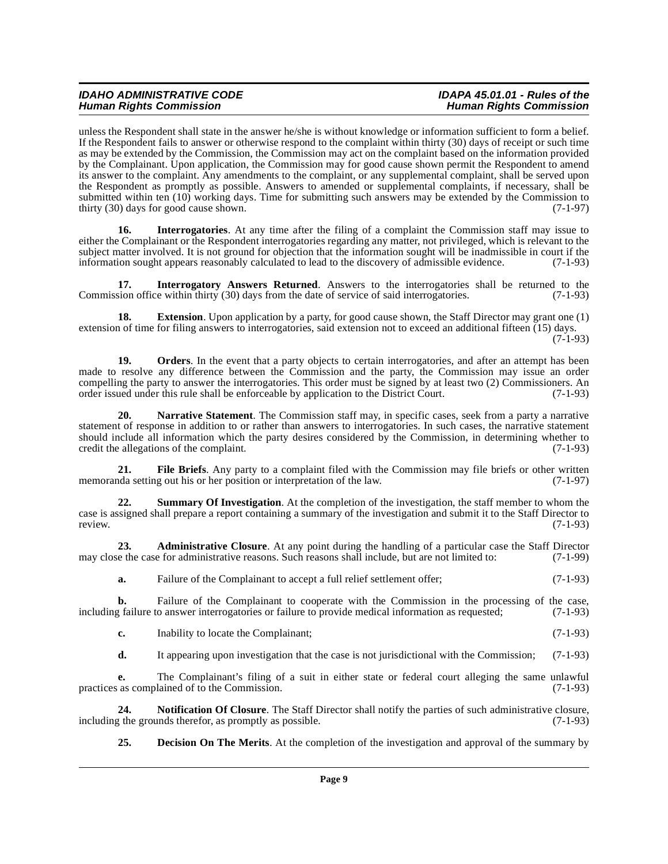unless the Respondent shall state in the answer he/she is without knowledge or information sufficient to form a belief. If the Respondent fails to answer or otherwise respond to the complaint within thirty (30) days of receipt or such time as may be extended by the Commission, the Commission may act on the complaint based on the information provided by the Complainant. Upon application, the Commission may for good cause shown permit the Respondent to amend its answer to the complaint. Any amendments to the complaint, or any supplemental complaint, shall be served upon the Respondent as promptly as possible. Answers to amended or supplemental complaints, if necessary, shall be submitted within ten (10) working days. Time for submitting such answers may be extended by the Commission to thirty (30) days for good cause shown. thirty  $(30)$  days for good cause shown.

<span id="page-8-3"></span>**16.** Interrogatories. At any time after the filing of a complaint the Commission staff may issue to either the Complainant or the Respondent interrogatories regarding any matter, not privileged, which is relevant to the subject matter involved. It is not ground for objection that the information sought will be inadmissible in court if the information sought appears reasonably calculated to lead to the discovery of admissible evidence. (7-1-93)

**17. Interrogatory Answers Returned**. Answers to the interrogatories shall be returned to the ison office within thirty (30) days from the date of service of said interrogatories. (7-1-93) Commission office within thirty (30) days from the date of service of said interrogatories.

<span id="page-8-2"></span>**18. Extension**. Upon application by a party, for good cause shown, the Staff Director may grant one (1) extension of time for filing answers to interrogatories, said extension not to exceed an additional fifteen (15) days.  $(7-1-93)$ 

<span id="page-8-5"></span>**19.** Orders. In the event that a party objects to certain interrogatories, and after an attempt has been made to resolve any difference between the Commission and the party, the Commission may issue an order compelling the party to answer the interrogatories. This order must be signed by at least two (2) Commissioners. An order issued under this rule shall be enforceable by application to the District Court. (7-1-93) order issued under this rule shall be enforceable by application to the District Court.

<span id="page-8-4"></span>**20. Narrative Statement**. The Commission staff may, in specific cases, seek from a party a narrative statement of response in addition to or rather than answers to interrogatories. In such cases, the narrative statement should include all information which the party desires considered by the Commission, in determining whether to credit the allegations of the complaint. (7-1-93)

**21. File Briefs**. Any party to a complaint filed with the Commission may file briefs or other written memoranda setting out his or her position or interpretation of the law. (7-1-97)

<span id="page-8-6"></span>**22. Summary Of Investigation**. At the completion of the investigation, the staff member to whom the case is assigned shall prepare a report containing a summary of the investigation and submit it to the Staff Director to review. review. (7-1-93)

23. **Administrative Closure**. At any point during the handling of a particular case the Staff Director de the case for administrative reasons. Such reasons shall include, but are not limited to: (7-1-99) may close the case for administrative reasons. Such reasons shall include, but are not limited to:

<span id="page-8-0"></span>**a.** Failure of the Complainant to accept a full relief settlement offer; (7-1-93)

**b.** Failure of the Complainant to cooperate with the Commission in the processing of the case, railure to answer interrogatories or failure to provide medical information as requested; (7-1-93) including failure to answer interrogatories or failure to provide medical information as requested;

- **c.** Inability to locate the Complainant; (7-1-93)
- **d.** It appearing upon investigation that the case is not jurisdictional with the Commission; (7-1-93)

**e.** The Complainant's filing of a suit in either state or federal court alleging the same unlawful practices as complained of to the Commission. (7-1-93)

**24. Notification Of Closure**. The Staff Director shall notify the parties of such administrative closure, it the grounds therefor, as promptly as possible. (7-1-93) including the grounds therefor, as promptly as possible.

<span id="page-8-1"></span>**25. Decision On The Merits**. At the completion of the investigation and approval of the summary by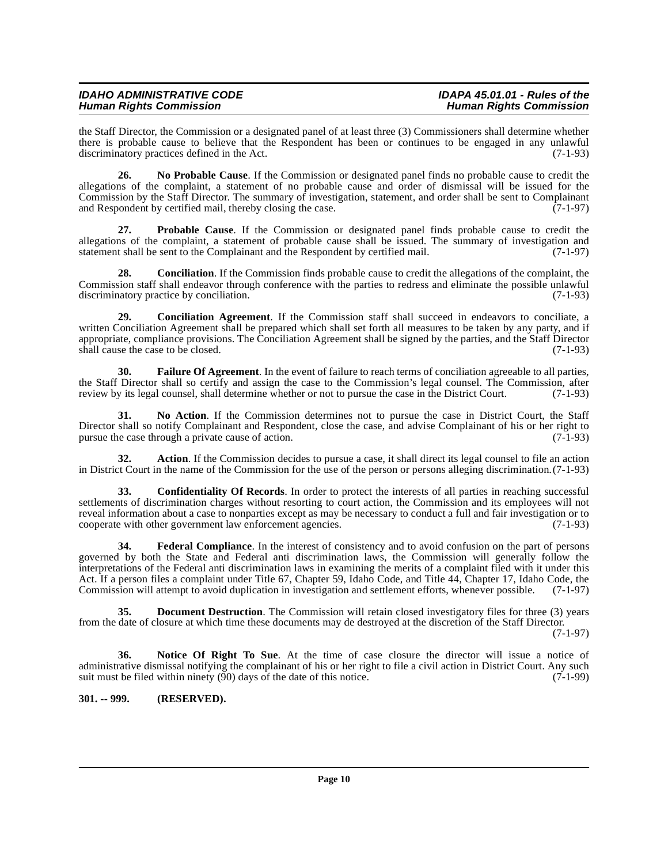the Staff Director, the Commission or a designated panel of at least three (3) Commissioners shall determine whether there is probable cause to believe that the Respondent has been or continues to be engaged in any unlawful discriminatory practices defined in the Act. discriminatory practices defined in the Act.

**26. No Probable Cause**. If the Commission or designated panel finds no probable cause to credit the allegations of the complaint, a statement of no probable cause and order of dismissal will be issued for the Commission by the Staff Director. The summary of investigation, statement, and order shall be sent to Complainant and Respondent by certified mail, thereby closing the case. and Respondent by certified mail, thereby closing the case.

**27. Probable Cause**. If the Commission or designated panel finds probable cause to credit the allegations of the complaint, a statement of probable cause shall be issued. The summary of investigation and statement shall be sent to the Complainant and the Respondent by certified mail. (7-1-97) statement shall be sent to the Complainant and the Respondent by certified mail.

**28. Conciliation**. If the Commission finds probable cause to credit the allegations of the complaint, the Commission staff shall endeavor through conference with the parties to redress and eliminate the possible unlawful discriminatory practice by conciliation. discriminatory practice by conciliation.

**29. Conciliation Agreement**. If the Commission staff shall succeed in endeavors to conciliate, a written Conciliation Agreement shall be prepared which shall set forth all measures to be taken by any party, and if appropriate, compliance provisions. The Conciliation Agreement shall be signed by the parties, and the Staff Director shall cause the case to be closed. (7-1-93)

<span id="page-9-3"></span>**30. Failure Of Agreement**. In the event of failure to reach terms of conciliation agreeable to all parties, the Staff Director shall so certify and assign the case to the Commission's legal counsel. The Commission, after review by its legal counsel, shall determine whether or not to pursue the case in the District Court. (7-1-93)

**31. No Action**. If the Commission determines not to pursue the case in District Court, the Staff Director shall so notify Complainant and Respondent, close the case, and advise Complainant of his or her right to pursue the case through a private cause of action. (7-1-93)

**32. Action**. If the Commission decides to pursue a case, it shall direct its legal counsel to file an action in District Court in the name of the Commission for the use of the person or persons alleging discrimination.(7-1-93)

<span id="page-9-1"></span>**33. Confidentiality Of Records**. In order to protect the interests of all parties in reaching successful settlements of discrimination charges without resorting to court action, the Commission and its employees will not reveal information about a case to nonparties except as may be necessary to conduct a full and fair investigation or to cooperate with other government law enforcement agencies. cooperate with other government law enforcement agencies.

<span id="page-9-4"></span>**34. Federal Compliance**. In the interest of consistency and to avoid confusion on the part of persons governed by both the State and Federal anti discrimination laws, the Commission will generally follow the interpretations of the Federal anti discrimination laws in examining the merits of a complaint filed with it under this Act. If a person files a complaint under Title 67, Chapter 59, Idaho Code, and Title 44, Chapter 17, Idaho Code, the Commission will attempt to avoid duplication in investigation and settlement efforts, whenever possible. (7-1-97)

<span id="page-9-2"></span>**35.** Document Destruction. The Commission will retain closed investigatory files for three (3) years from the date of closure at which time these documents may de destroyed at the discretion of the Staff Director.

(7-1-97)

<span id="page-9-5"></span>**36. Notice Of Right To Sue**. At the time of case closure the director will issue a notice of administrative dismissal notifying the complainant of his or her right to file a civil action in District Court. Any such suit must be filed within ninety (90) days of the date of this notice. suit must be filed within ninety  $(90)$  days of the date of this notice.

#### <span id="page-9-0"></span>**301. -- 999. (RESERVED).**